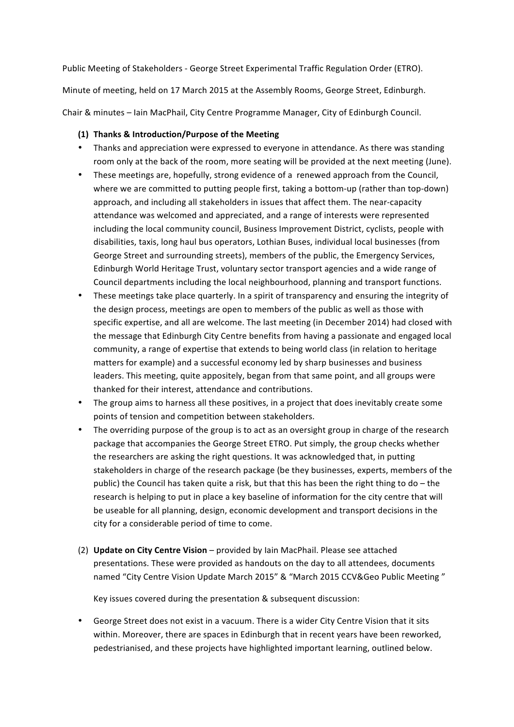Public Meeting of Stakeholders - George Street Experimental Traffic Regulation Order (ETRO). Minute of meeting, held on 17 March 2015 at the Assembly Rooms, George Street, Edinburgh. Chair & minutes - Iain MacPhail, City Centre Programme Manager, City of Edinburgh Council.

## **(1) Thanks & Introduction/Purpose of the Meeting**

- Thanks and appreciation were expressed to everyone in attendance. As there was standing room only at the back of the room, more seating will be provided at the next meeting (June).
- These meetings are, hopefully, strong evidence of a renewed approach from the Council, where we are committed to putting people first, taking a bottom-up (rather than top-down) approach, and including all stakeholders in issues that affect them. The near-capacity attendance was welcomed and appreciated, and a range of interests were represented including the local community council, Business Improvement District, cyclists, people with disabilities, taxis, long haul bus operators, Lothian Buses, individual local businesses (from George Street and surrounding streets), members of the public, the Emergency Services, Edinburgh World Heritage Trust, voluntary sector transport agencies and a wide range of Council departments including the local neighbourhood, planning and transport functions.
- These meetings take place quarterly. In a spirit of transparency and ensuring the integrity of the design process, meetings are open to members of the public as well as those with specific expertise, and all are welcome. The last meeting (in December 2014) had closed with the message that Edinburgh City Centre benefits from having a passionate and engaged local community, a range of expertise that extends to being world class (in relation to heritage matters for example) and a successful economy led by sharp businesses and business leaders. This meeting, quite appositely, began from that same point, and all groups were thanked for their interest, attendance and contributions.
- The group aims to harness all these positives, in a project that does inevitably create some points of tension and competition between stakeholders.
- The overriding purpose of the group is to act as an oversight group in charge of the research package that accompanies the George Street ETRO. Put simply, the group checks whether the researchers are asking the right questions. It was acknowledged that, in putting stakeholders in charge of the research package (be they businesses, experts, members of the public) the Council has taken quite a risk, but that this has been the right thing to  $do$  – the research is helping to put in place a key baseline of information for the city centre that will be useable for all planning, design, economic development and transport decisions in the city for a considerable period of time to come.
- (2) **Update on City Centre Vision** provided by Iain MacPhail. Please see attached presentations. These were provided as handouts on the day to all attendees, documents named "City Centre Vision Update March 2015" & "March 2015 CCV&Geo Public Meeting"

Key issues covered during the presentation & subsequent discussion:

• George Street does not exist in a vacuum. There is a wider City Centre Vision that it sits within. Moreover, there are spaces in Edinburgh that in recent years have been reworked, pedestrianised, and these projects have highlighted important learning, outlined below.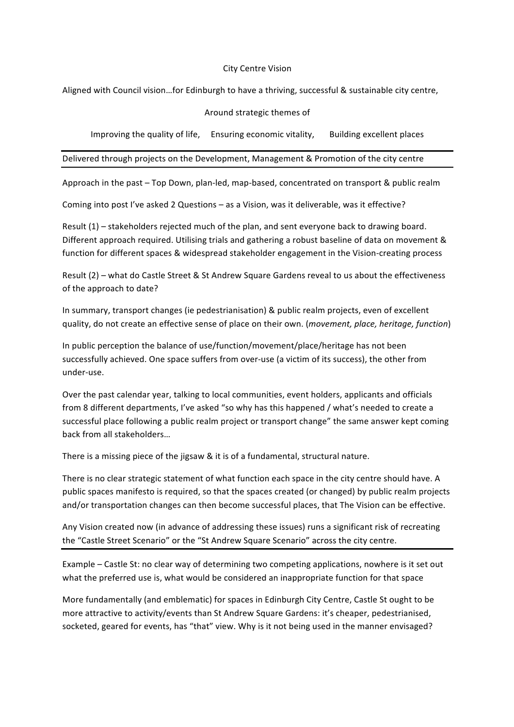#### City Centre Vision

Aligned with Council vision...for Edinburgh to have a thriving, successful & sustainable city centre,

### Around strategic themes of

Improving the quality of life, Ensuring economic vitality, Building excellent places

Delivered through projects on the Development, Management & Promotion of the city centre

Approach in the past - Top Down, plan-led, map-based, concentrated on transport & public realm

Coming into post I've asked 2 Questions – as a Vision, was it deliverable, was it effective?

Result  $(1)$  – stakeholders rejected much of the plan, and sent everyone back to drawing board. Different approach required. Utilising trials and gathering a robust baseline of data on movement & function for different spaces & widespread stakeholder engagement in the Vision-creating process

Result  $(2)$  – what do Castle Street & St Andrew Square Gardens reveal to us about the effectiveness of the approach to date?

In summary, transport changes (ie pedestrianisation) & public realm projects, even of excellent quality, do not create an effective sense of place on their own. (*movement, place, heritage, function*)

In public perception the balance of use/function/movement/place/heritage has not been successfully achieved. One space suffers from over-use (a victim of its success), the other from under-use.

Over the past calendar year, talking to local communities, event holders, applicants and officials from 8 different departments, I've asked "so why has this happened / what's needed to create a successful place following a public realm project or transport change" the same answer kept coming back from all stakeholders...

There is a missing piece of the jigsaw  $\&$  it is of a fundamental, structural nature.

There is no clear strategic statement of what function each space in the city centre should have. A public spaces manifesto is required, so that the spaces created (or changed) by public realm projects and/or transportation changes can then become successful places, that The Vision can be effective.

Any Vision created now (in advance of addressing these issues) runs a significant risk of recreating the "Castle Street Scenario" or the "St Andrew Square Scenario" across the city centre.

Example – Castle St: no clear way of determining two competing applications, nowhere is it set out what the preferred use is, what would be considered an inappropriate function for that space

More fundamentally (and emblematic) for spaces in Edinburgh City Centre, Castle St ought to be more attractive to activity/events than St Andrew Square Gardens: it's cheaper, pedestrianised, socketed, geared for events, has "that" view. Why is it not being used in the manner envisaged?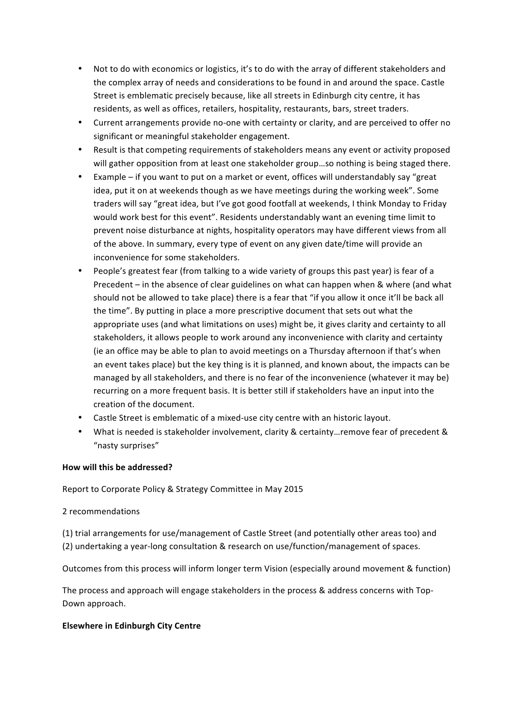- Not to do with economics or logistics, it's to do with the array of different stakeholders and the complex array of needs and considerations to be found in and around the space. Castle Street is emblematic precisely because, like all streets in Edinburgh city centre, it has residents, as well as offices, retailers, hospitality, restaurants, bars, street traders.
- Current arrangements provide no-one with certainty or clarity, and are perceived to offer no significant or meaningful stakeholder engagement.
- Result is that competing requirements of stakeholders means any event or activity proposed will gather opposition from at least one stakeholder group...so nothing is being staged there.
- Example if you want to put on a market or event, offices will understandably say "great" idea, put it on at weekends though as we have meetings during the working week". Some traders will say "great idea, but I've got good footfall at weekends, I think Monday to Friday would work best for this event". Residents understandably want an evening time limit to prevent noise disturbance at nights, hospitality operators may have different views from all of the above. In summary, every type of event on any given date/time will provide an inconvenience for some stakeholders.
- People's greatest fear (from talking to a wide variety of groups this past year) is fear of a Precedent – in the absence of clear guidelines on what can happen when  $\&$  where (and what should not be allowed to take place) there is a fear that "if you allow it once it'll be back all the time". By putting in place a more prescriptive document that sets out what the appropriate uses (and what limitations on uses) might be, it gives clarity and certainty to all stakeholders, it allows people to work around any inconvenience with clarity and certainty (ie an office may be able to plan to avoid meetings on a Thursday afternoon if that's when an event takes place) but the key thing is it is planned, and known about, the impacts can be managed by all stakeholders, and there is no fear of the inconvenience (whatever it may be) recurring on a more frequent basis. It is better still if stakeholders have an input into the creation of the document.
- Castle Street is emblematic of a mixed-use city centre with an historic layout.
- What is needed is stakeholder involvement, clarity & certainty...remove fear of precedent & "nasty surprises"

#### How will this be addressed?

Report to Corporate Policy & Strategy Committee in May 2015

#### 2 recommendations

(1) trial arrangements for use/management of Castle Street (and potentially other areas too) and (2) undertaking a year-long consultation & research on use/function/management of spaces.

Outcomes from this process will inform longer term Vision (especially around movement & function)

The process and approach will engage stakeholders in the process & address concerns with Top-Down approach.

#### **Elsewhere in Edinburgh City Centre**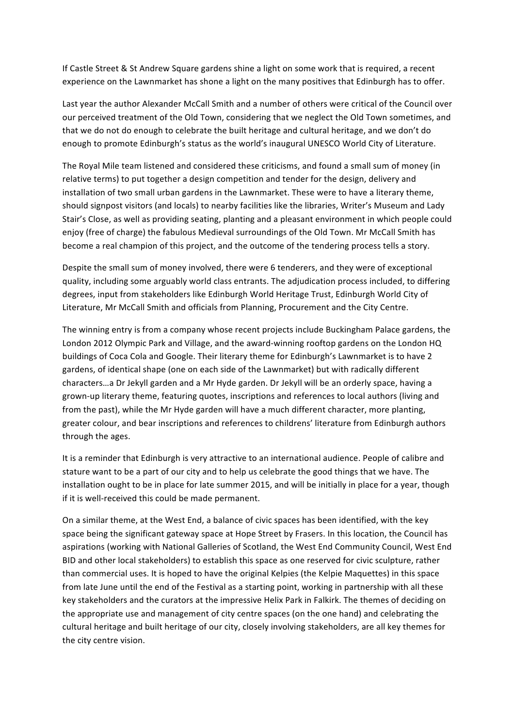If Castle Street & St Andrew Square gardens shine a light on some work that is required, a recent experience on the Lawnmarket has shone a light on the many positives that Edinburgh has to offer.

Last year the author Alexander McCall Smith and a number of others were critical of the Council over our perceived treatment of the Old Town, considering that we neglect the Old Town sometimes, and that we do not do enough to celebrate the built heritage and cultural heritage, and we don't do enough to promote Edinburgh's status as the world's inaugural UNESCO World City of Literature.

The Royal Mile team listened and considered these criticisms, and found a small sum of money (in relative terms) to put together a design competition and tender for the design, delivery and installation of two small urban gardens in the Lawnmarket. These were to have a literary theme, should signpost visitors (and locals) to nearby facilities like the libraries, Writer's Museum and Lady Stair's Close, as well as providing seating, planting and a pleasant environment in which people could enjoy (free of charge) the fabulous Medieval surroundings of the Old Town. Mr McCall Smith has become a real champion of this project, and the outcome of the tendering process tells a story.

Despite the small sum of money involved, there were 6 tenderers, and they were of exceptional quality, including some arguably world class entrants. The adjudication process included, to differing degrees, input from stakeholders like Edinburgh World Heritage Trust, Edinburgh World City of Literature, Mr McCall Smith and officials from Planning, Procurement and the City Centre.

The winning entry is from a company whose recent projects include Buckingham Palace gardens, the London 2012 Olympic Park and Village, and the award-winning rooftop gardens on the London HQ buildings of Coca Cola and Google. Their literary theme for Edinburgh's Lawnmarket is to have 2 gardens, of identical shape (one on each side of the Lawnmarket) but with radically different characters...a Dr Jekyll garden and a Mr Hyde garden. Dr Jekyll will be an orderly space, having a grown-up literary theme, featuring quotes, inscriptions and references to local authors (living and from the past), while the Mr Hyde garden will have a much different character, more planting, greater colour, and bear inscriptions and references to childrens' literature from Edinburgh authors through the ages.

It is a reminder that Edinburgh is very attractive to an international audience. People of calibre and stature want to be a part of our city and to help us celebrate the good things that we have. The installation ought to be in place for late summer 2015, and will be initially in place for a year, though if it is well-received this could be made permanent.

On a similar theme, at the West End, a balance of civic spaces has been identified, with the key space being the significant gateway space at Hope Street by Frasers. In this location, the Council has aspirations (working with National Galleries of Scotland, the West End Community Council, West End BID and other local stakeholders) to establish this space as one reserved for civic sculpture, rather than commercial uses. It is hoped to have the original Kelpies (the Kelpie Maquettes) in this space from late June until the end of the Festival as a starting point, working in partnership with all these key stakeholders and the curators at the impressive Helix Park in Falkirk. The themes of deciding on the appropriate use and management of city centre spaces (on the one hand) and celebrating the cultural heritage and built heritage of our city, closely involving stakeholders, are all key themes for the city centre vision.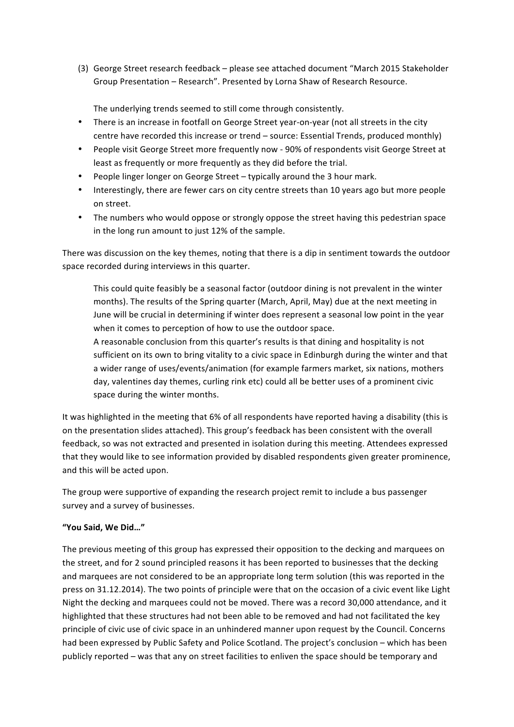(3) George Street research feedback - please see attached document "March 2015 Stakeholder Group Presentation - Research". Presented by Lorna Shaw of Research Resource.

The underlying trends seemed to still come through consistently.

- There is an increase in footfall on George Street year-on-year (not all streets in the city centre have recorded this increase or trend – source: Essential Trends, produced monthly)
- People visit George Street more frequently now 90% of respondents visit George Street at least as frequently or more frequently as they did before the trial.
- People linger longer on George Street typically around the 3 hour mark.
- Interestingly, there are fewer cars on city centre streets than 10 years ago but more people on street.
- The numbers who would oppose or strongly oppose the street having this pedestrian space in the long run amount to just 12% of the sample.

There was discussion on the key themes, noting that there is a dip in sentiment towards the outdoor space recorded during interviews in this quarter.

This could quite feasibly be a seasonal factor (outdoor dining is not prevalent in the winter months). The results of the Spring quarter (March, April, May) due at the next meeting in June will be crucial in determining if winter does represent a seasonal low point in the year when it comes to perception of how to use the outdoor space.

A reasonable conclusion from this quarter's results is that dining and hospitality is not sufficient on its own to bring vitality to a civic space in Edinburgh during the winter and that a wider range of uses/events/animation (for example farmers market, six nations, mothers day, valentines day themes, curling rink etc) could all be better uses of a prominent civic space during the winter months.

It was highlighted in the meeting that 6% of all respondents have reported having a disability (this is on the presentation slides attached). This group's feedback has been consistent with the overall feedback, so was not extracted and presented in isolation during this meeting. Attendees expressed that they would like to see information provided by disabled respondents given greater prominence, and this will be acted upon.

The group were supportive of expanding the research project remit to include a bus passenger survey and a survey of businesses.

#### **"You Said, We Did…"**

The previous meeting of this group has expressed their opposition to the decking and marquees on the street, and for 2 sound principled reasons it has been reported to businesses that the decking and marquees are not considered to be an appropriate long term solution (this was reported in the press on 31.12.2014). The two points of principle were that on the occasion of a civic event like Light Night the decking and marquees could not be moved. There was a record 30,000 attendance, and it highlighted that these structures had not been able to be removed and had not facilitated the key principle of civic use of civic space in an unhindered manner upon request by the Council. Concerns had been expressed by Public Safety and Police Scotland. The project's conclusion – which has been publicly reported – was that any on street facilities to enliven the space should be temporary and